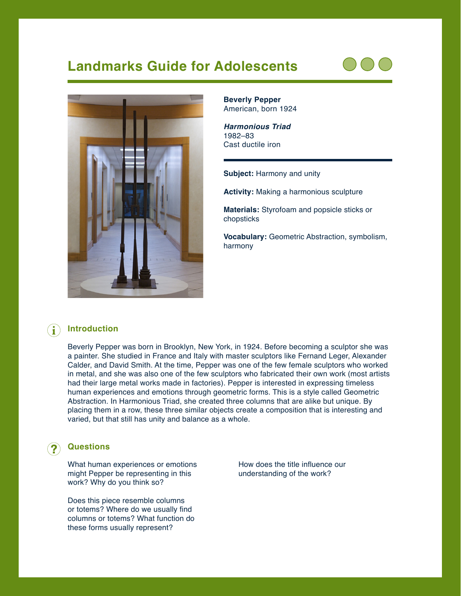# **Landmarks Guide for Adolescents**





**Beverly Pepper** American, born 1924

*Harmonious Triad* 1982–83 Cast ductile iron

**Subject:** Harmony and unity

**Activity:** Making a harmonious sculpture

**Materials:** Styrofoam and popsicle sticks or chopsticks

**Vocabulary:** Geometric Abstraction, symbolism, harmony

#### **Introduction**  $\left( \mathbf{i}\right)$

Beverly Pepper was born in Brooklyn, New York, in 1924. Before becoming a sculptor she was a painter. She studied in France and Italy with master sculptors like Fernand Leger, Alexander Calder, and David Smith. At the time, Pepper was one of the few female sculptors who worked in metal, and she was also one of the few sculptors who fabricated their own work (most artists had their large metal works made in factories). Pepper is interested in expressing timeless human experiences and emotions through geometric forms. This is a style called Geometric Abstraction. In Harmonious Triad, she created three columns that are alike but unique. By placing them in a row, these three similar objects create a composition that is interesting and varied, but that still has unity and balance as a whole.

## **Questions**

What human experiences or emotions might Pepper be representing in this work? Why do you think so?

Does this piece resemble columns or totems? Where do we usually find columns or totems? What function do these forms usually represent?

How does the title influence our understanding of the work?